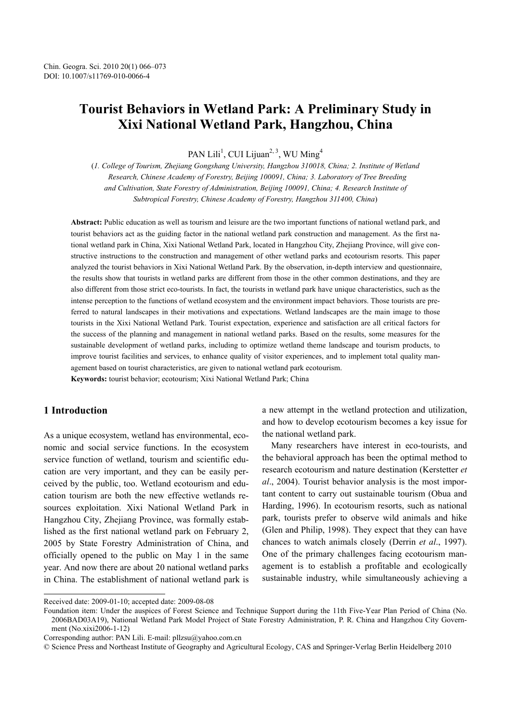# **Tourist Behaviors in Wetland Park: A Preliminary Study in Xixi National Wetland Park, Hangzhou, China**

PAN Lili<sup>1</sup>, CUI Lijuan<sup>2, 3</sup>, WU Ming<sup>4</sup>

(*1. College of Tourism, Zhejiang Gongshang University, Hangzhou 310018, China; 2. Institute of Wetland Research, Chinese Academy of Forestry, Beijing 100091, China; 3. Laboratory of Tree Breeding and Cultivation, State Forestry of Administration, Beijing 100091, China; 4. Research Institute of Subtropical Forestry, Chinese Academy of Forestry, Hangzhou 311400, China*)

**Abstract:** Public education as well as tourism and leisure are the two important functions of national wetland park, and tourist behaviors act as the guiding factor in the national wetland park construction and management. As the first national wetland park in China, Xixi National Wetland Park, located in Hangzhou City, Zhejiang Province, will give constructive instructions to the construction and management of other wetland parks and ecotourism resorts. This paper analyzed the tourist behaviors in Xixi National Wetland Park. By the observation, in-depth interview and questionnaire, the results show that tourists in wetland parks are different from those in the other common destinations, and they are also different from those strict eco-tourists. In fact, the tourists in wetland park have unique characteristics, such as the intense perception to the functions of wetland ecosystem and the environment impact behaviors. Those tourists are preferred to natural landscapes in their motivations and expectations. Wetland landscapes are the main image to those tourists in the Xixi National Wetland Park. Tourist expectation, experience and satisfaction are all critical factors for the success of the planning and management in national wetland parks. Based on the results, some measures for the sustainable development of wetland parks, including to optimize wetland theme landscape and tourism products, to improve tourist facilities and services, to enhance quality of visitor experiences, and to implement total quality management based on tourist characteristics, are given to national wetland park ecotourism.

**Keywords:** tourist behavior; ecotourism; Xixi National Wetland Park; China

# **1 Introduction**

l

As a unique ecosystem, wetland has environmental, economic and social service functions. In the ecosystem service function of wetland, tourism and scientific education are very important, and they can be easily perceived by the public, too. Wetland ecotourism and education tourism are both the new effective wetlands resources exploitation. Xixi National Wetland Park in Hangzhou City, Zhejiang Province, was formally established as the first national wetland park on February 2, 2005 by State Forestry Administration of China, and officially opened to the public on May 1 in the same year. And now there are about 20 national wetland parks in China. The establishment of national wetland park is a new attempt in the wetland protection and utilization, and how to develop ecotourism becomes a key issue for the national wetland park.

Many researchers have interest in eco-tourists, and the behavioral approach has been the optimal method to research ecotourism and nature destination (Kerstetter *et al*., 2004). Tourist behavior analysis is the most important content to carry out sustainable tourism (Obua and Harding, 1996). In ecotourism resorts, such as national park, tourists prefer to observe wild animals and hike (Glen and Philip, 1998). They expect that they can have chances to watch animals closely (Derrin *et al*., 1997). One of the primary challenges facing ecotourism management is to establish a profitable and ecologically sustainable industry, while simultaneously achieving a

Received date: 2009-01-10; accepted date: 2009-08-08

Foundation item: Under the auspices of Forest Science and Technique Support during the 11th Five-Year Plan Period of China (No. 2006BAD03A19), National Wetland Park Model Project of State Forestry Administration, P. R. China and Hangzhou City Government (No.xixi2006-1-12)

Corresponding author: PAN Lili. E-mail: pllzsu@yahoo.com.cn

<sup>©</sup> Science Press and Northeast Institute of Geography and Agricultural Ecology, CAS and Springer-Verlag Berlin Heidelberg 2010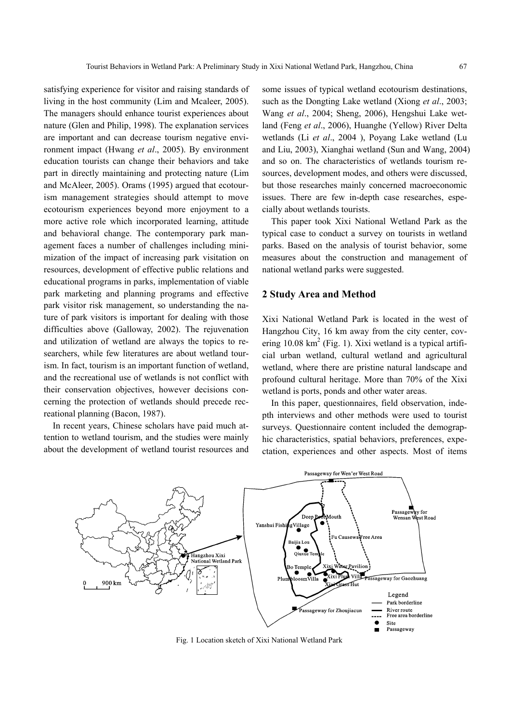satisfying experience for visitor and raising standards of living in the host community (Lim and Mcaleer, 2005). The managers should enhance tourist experiences about nature (Glen and Philip, 1998). The explanation services are important and can decrease tourism negative environment impact (Hwang *et al*., 2005). By environment education tourists can change their behaviors and take part in directly maintaining and protecting nature (Lim and McAleer, 2005). Orams (1995) argued that ecotourism management strategies should attempt to move ecotourism experiences beyond more enjoyment to a more active role which incorporated learning, attitude and behavioral change. The contemporary park management faces a number of challenges including minimization of the impact of increasing park visitation on resources, development of effective public relations and educational programs in parks, implementation of viable park marketing and planning programs and effective park visitor risk management, so understanding the nature of park visitors is important for dealing with those difficulties above (Galloway, 2002). The rejuvenation and utilization of wetland are always the topics to researchers, while few literatures are about wetland tourism. In fact, tourism is an important function of wetland, and the recreational use of wetlands is not conflict with their conservation objectives, however decisions concerning the protection of wetlands should precede recreational planning (Bacon, 1987).

In recent years, Chinese scholars have paid much attention to wetland tourism, and the studies were mainly about the development of wetland tourist resources and some issues of typical wetland ecotourism destinations, such as the Dongting Lake wetland (Xiong *et al*., 2003; Wang *et al*., 2004; Sheng, 2006), Hengshui Lake wetland (Feng *et al*., 2006), Huanghe (Yellow) River Delta wetlands (Li *et al*., 2004 ), Poyang Lake wetland (Lu and Liu, 2003), Xianghai wetland (Sun and Wang, 2004) and so on. The characteristics of wetlands tourism resources, development modes, and others were discussed, but those researches mainly concerned macroeconomic issues. There are few in-depth case researches, especially about wetlands tourists.

This paper took Xixi National Wetland Park as the typical case to conduct a survey on tourists in wetland parks. Based on the analysis of tourist behavior, some measures about the construction and management of national wetland parks were suggested.

### **2 Study Area and Method**

Xixi National Wetland Park is located in the west of Hangzhou City, 16 km away from the city center, covering  $10.08 \text{ km}^2$  (Fig. 1). Xixi wetland is a typical artificial urban wetland, cultural wetland and agricultural wetland, where there are pristine natural landscape and profound cultural heritage. More than 70% of the Xixi wetland is ports, ponds and other water areas.

In this paper, questionnaires, field observation, indepth interviews and other methods were used to tourist surveys. Questionnaire content included the demographic characteristics, spatial behaviors, preferences, expectation, experiences and other aspects. Most of items



Fig. 1 Location sketch of Xixi National Wetland Park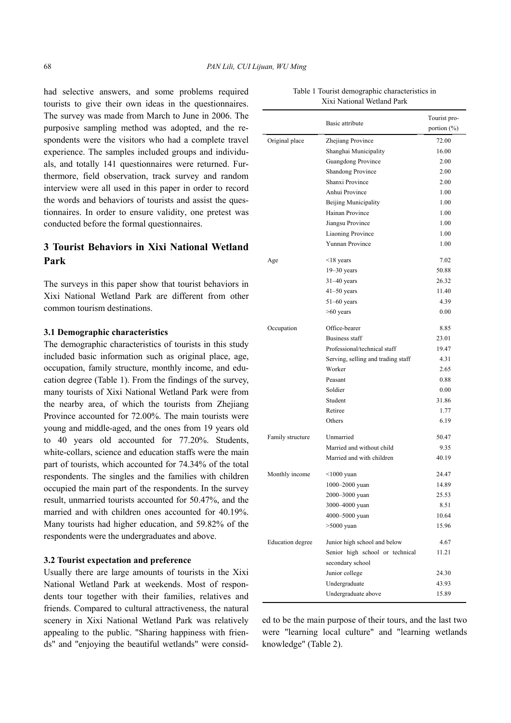had selective answers, and some problems required tourists to give their own ideas in the questionnaires. The survey was made from March to June in 2006. The purposive sampling method was adopted, and the respondents were the visitors who had a complete travel experience. The samples included groups and individuals, and totally 141 questionnaires were returned. Furthermore, field observation, track survey and random interview were all used in this paper in order to record the words and behaviors of tourists and assist the questionnaires. In order to ensure validity, one pretest was conducted before the formal questionnaires.

# **3 Tourist Behaviors in Xixi National Wetland Park**

The surveys in this paper show that tourist behaviors in Xixi National Wetland Park are different from other common tourism destinations.

#### **3.1 Demographic characteristics**

The demographic characteristics of tourists in this study included basic information such as original place, age, occupation, family structure, monthly income, and education degree (Table 1). From the findings of the survey, many tourists of Xixi National Wetland Park were from the nearby area, of which the tourists from Zhejiang Province accounted for 72.00%. The main tourists were young and middle-aged, and the ones from 19 years old to 40 years old accounted for 77.20%. Students, white-collars, science and education staffs were the main part of tourists, which accounted for 74.34% of the total respondents. The singles and the families with children occupied the main part of the respondents. In the survey result, unmarried tourists accounted for 50.47%, and the married and with children ones accounted for 40.19%. Many tourists had higher education, and 59.82% of the respondents were the undergraduates and above.

#### **3.2 Tourist expectation and preference**

Usually there are large amounts of tourists in the Xixi National Wetland Park at weekends. Most of respondents tour together with their families, relatives and friends. Compared to cultural attractiveness, the natural scenery in Xixi National Wetland Park was relatively appealing to the public. "Sharing happiness with friends" and "enjoying the beautiful wetlands" were consid-

|                         | Basic attribute                    | Tourist pro-<br>portion $(\% )$ |
|-------------------------|------------------------------------|---------------------------------|
| Original place          | Zhejiang Province                  | 72.00                           |
|                         | Shanghai Municipality              | 16.00                           |
|                         | Guangdong Province                 | 2.00                            |
|                         | <b>Shandong Province</b>           | 2.00                            |
|                         | Shanxi Province                    | 2.00                            |
|                         | Anhui Province                     | 1.00                            |
|                         | Beijing Municipality               | 1.00                            |
|                         | Hainan Province                    | 1.00                            |
|                         | Jiangsu Province                   | 1.00                            |
|                         | <b>Liaoning Province</b>           | 1.00                            |
|                         | Yunnan Province                    | 1.00                            |
| Age                     | $\leq$ 18 years                    | 7.02                            |
|                         | $19 - 30$ years                    | 50.88                           |
|                         | $31-40$ years                      | 26.32                           |
|                         | $41-50$ years                      | 11.40                           |
|                         | $51-60$ years                      | 4.39                            |
|                         | $>60$ years                        | 0.00                            |
| Occupation              | Office-bearer                      | 8.85                            |
|                         | <b>Business staff</b>              | 23.01                           |
|                         | Professional/technical staff       | 19.47                           |
|                         | Serving, selling and trading staff | 4.31                            |
|                         | Worker                             | 2.65                            |
|                         | Peasant                            | 0.88                            |
|                         | Soldier                            | 0.00                            |
|                         | Student                            | 31.86                           |
|                         | Retiree                            | 1.77                            |
|                         | Others                             | 6.19                            |
| Family structure        | Unmarried                          | 50.47                           |
|                         | Married and without child          | 9.35                            |
|                         | Married and with children          | 40.19                           |
| Monthly income          | $\leq$ 1000 yuan                   | 24.47                           |
|                         | 1000-2000 yuan                     | 14.89                           |
|                         | 2000-3000 yuan                     | 25.53                           |
|                         | 3000-4000 yuan                     | 8.51                            |
|                         | 4000-5000 yuan                     | 10.64                           |
|                         | $>5000$ yuan                       | 15.96                           |
| <b>Education</b> degree | Junior high school and below       | 4.67                            |
|                         | Senior high school or technical    | 11.21                           |
|                         | secondary school                   |                                 |
|                         | Junior college                     | 24.30                           |
|                         | Undergraduate                      | 43.93                           |
|                         | Undergraduate above                | 15.89                           |

Table 1 Tourist demographic characteristics in Xixi National Wetland Park

ed to be the main purpose of their tours, and the last two were "learning local culture" and "learning wetlands knowledge" (Table 2).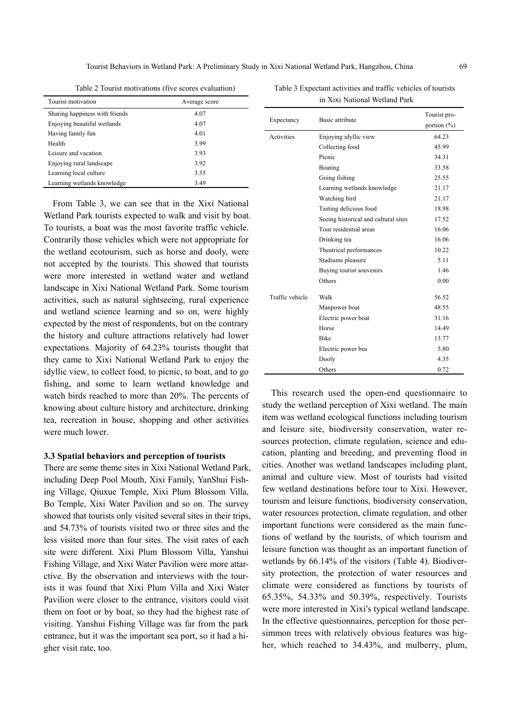Tourist Behaviors in Wetland Park: A Preliminary Study in Xixi National Wetland Park, Hangzhou, China 69

| Table 2 Tourist motivations (five scores evaluation) |  |
|------------------------------------------------------|--|
|------------------------------------------------------|--|

Table 3 Expectant activities and traffic vehicles of tourists in Xixi National Wetland Park

| Tourist motivation             | Average score |
|--------------------------------|---------------|
| Sharing happiness with friends | 4.07          |
| Enjoying beautiful wetlands    | 4.07          |
| Having family fun              | 4.01          |
| Health                         | 3.99          |
| Leisure and vacation           | 3.93          |
| Enjoying rural landscape       | 3.92          |
| Learning local culture         | 3.55          |
| Learning wetlands knowledge    | 3.49          |

From Table 3, we can see that in the Xixi National Wetland Park tourists expected to walk and visit by boat. To tourists, a boat was the most favorite traffic vehicle. Contrarily those vehicles which were not appropriate for the wetland ecotourism, such as horse and dooly, were not accepted by the tourists. This showed that tourists were more interested in wetland water and wetland landscape in Xixi National Wetland Park. Some tourism activities, such as natural sightseeing, rural experience and wetland science learning and so on, were highly expected by the most of respondents, but on the contrary the history and culture attractions relatively had lower expectations. Majority of 64.23% tourists thought that they came to Xixi National Wetland Park to enjoy the idyllic view, to collect food, to picnic, to boat, and to go fishing, and some to learn wetland knowledge and watch birds reached to more than 20%. The percents of knowing about culture history and architecture, drinking tea, recreation in house, shopping and other activities were much lower.

#### **3.3 Spatial behaviors and perception of tourists**

There are some theme sites in Xixi National Wetland Park, including Deep Pool Mouth, Xixi Family, YanShui Fishing Village, Qiuxue Temple, Xixi Plum Blossom Villa, Bo Temple, Xixi Water Pavilion and so on. The survey showed that tourists only visited several sites in their trips, and 54.73% of tourists visited two or three sites and the less visited more than four sites. The visit rates of each site were different. Xixi Plum Blossom Villa, Yanshui Fishing Village, and Xixi Water Pavilion were more attarctive. By the observation and interviews with the tourists it was found that Xixi Plum Villa and Xixi Water Pavilion were closer to the entrance, visitors could visit them on foot or by boat, so they had the highest rate of visiting. Yanshui Fishing Village was far from the park entrance, but it was the important sea port, so it had a higher visit rate, too.

| Expectancy      | Basic attribute                      | Tourist pro-    |
|-----------------|--------------------------------------|-----------------|
|                 |                                      | portion $(\% )$ |
| Activities      | Enjoying idyllic view                | 64.23           |
|                 | Collecting food                      | 45.99           |
|                 | Picnic                               | 34.31           |
|                 | Boating                              | 33.58           |
|                 | Going fishing                        | 25.55           |
|                 | Learning wetlands knowledge          | 21.17           |
|                 | Watching bird                        | 21.17           |
|                 | Tasting delicious food               | 18.98           |
|                 | Seeing historical and cultural sites | 17.52           |
|                 | Tour residential areas               | 16.06           |
|                 | Drinking tea                         | 16.06           |
|                 | Theatrical performances              | 10.22           |
|                 | Stadiums pleasure                    | 5.11            |
|                 | Buying tourist souvenirs             | 1.46            |
|                 | Others                               | 0.00            |
| Traffic vehicle | Walk                                 | 56.52           |
|                 | Manpower boat                        | 48.55           |
|                 | Electric power boat                  | 31.16           |
|                 | Horse                                | 14.49           |
|                 | <b>Bike</b>                          | 13.77           |
|                 | Electric power bus                   | 5.80            |
|                 | Dooly                                | 4.35            |
|                 | Others                               | 0.72            |

This research used the open-end questionnaire to study the wetland perception of Xixi wetland. The main item was wetland ecological functions including tourism and leisure site, biodiversity conservation, water resources protection, climate regulation, science and education, planting and breeding, and preventing flood in cities. Another was wetland landscapes including plant, animal and culture view. Most of tourists had visited few wetland destinations before tour to Xixi. However, tourism and leisure functions, biodiversity conservation, water resources protection, climate regulation, and other important functions were considered as the main functions of wetland by the tourists, of which tourism and leisure function was thought as an important function of wetlands by 66.14% of the visitors (Table 4). Biodiversity protection, the protection of water resources and climate were considered as functions by tourists of 65.35%, 54.33% and 50.39%, respectively. Tourists were more interested in Xixi′s typical wetland landscape. In the effective questionnaires, perception for those persimmon trees with relatively obvious features was higher, which reached to 34.43%, and mulberry, plum,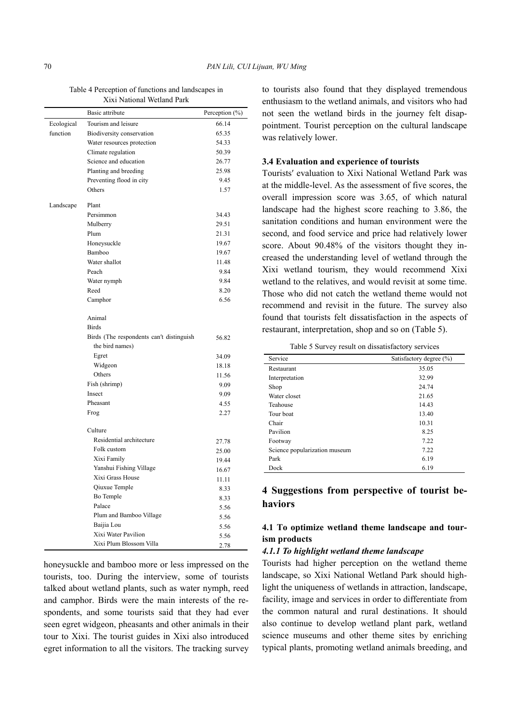Table 4 Perception of functions and landscapes in Xixi National Wetland Park

|            | Basic attribute                          | Perception (%) |
|------------|------------------------------------------|----------------|
| Ecological | Tourism and leisure                      | 66.14          |
| function   | Biodiversity conservation                | 65.35          |
|            | Water resources protection               | 54.33          |
|            | Climate regulation                       | 50.39          |
|            | Science and education                    | 26.77          |
|            | Planting and breeding                    | 25.98          |
|            | Preventing flood in city                 | 9.45           |
|            | Others                                   | 1.57           |
| Landscape  | Plant                                    |                |
|            | Persimmon                                | 34.43          |
|            | Mulberry                                 | 29.51          |
|            | Plum                                     | 21.31          |
|            | Honeysuckle                              | 19.67          |
|            | Bamboo                                   | 19.67          |
|            | Water shallot                            | 11.48          |
|            | Peach                                    | 9.84           |
|            | Water nymph                              | 9.84           |
|            | Reed                                     | 8.20           |
|            | Camphor                                  | 6.56           |
|            | Animal                                   |                |
|            | <b>Birds</b>                             |                |
|            | Birds (The respondents can't distinguish | 56.82          |
|            | the bird names)                          |                |
|            | Egret                                    | 34.09          |
|            | Widgeon                                  | 18.18          |
|            | Others                                   | 11.56          |
|            | Fish (shrimp)                            | 9.09           |
|            | Insect                                   | 9.09           |
|            | Pheasant                                 | 4.55           |
|            | Frog                                     | 2.27           |
|            | Culture                                  |                |
|            | Residential architecture                 | 27.78          |
|            | Folk custom                              | 25.00          |
|            | Xixi Family                              | 19.44          |
|            | Yanshui Fishing Village                  | 16.67          |
|            | Xixi Grass House                         | 11.11          |
|            | Qiuxue Temple                            | 8.33           |
|            | Bo Temple                                | 8.33           |
|            | Palace                                   | 5.56           |
|            | Plum and Bamboo Village                  | 5.56           |
|            | Baijia Lou                               | 5.56           |
|            | Xixi Water Pavilion                      | 5.56           |
|            | Xixi Plum Blossom Villa                  | 2.78           |

honeysuckle and bamboo more or less impressed on the tourists, too. During the interview, some of tourists talked about wetland plants, such as water nymph, reed and camphor. Birds were the main interests of the respondents, and some tourists said that they had ever seen egret widgeon, pheasants and other animals in their tour to Xixi. The tourist guides in Xixi also introduced egret information to all the visitors. The tracking survey to tourists also found that they displayed tremendous enthusiasm to the wetland animals, and visitors who had not seen the wetland birds in the journey felt disappointment. Tourist perception on the cultural landscape was relatively lower.

## **3.4 Evaluation and experience of tourists**

Tourists′ evaluation to Xixi National Wetland Park was at the middle-level. As the assessment of five scores, the overall impression score was 3.65, of which natural landscape had the highest score reaching to 3.86, the sanitation conditions and human environment were the second, and food service and price had relatively lower score. About 90.48% of the visitors thought they increased the understanding level of wetland through the Xixi wetland tourism, they would recommend Xixi wetland to the relatives, and would revisit at some time. Those who did not catch the wetland theme would not recommend and revisit in the future. The survey also found that tourists felt dissatisfaction in the aspects of restaurant, interpretation, shop and so on (Table 5).

Table 5 Survey result on dissatisfactory services

| Service                       | Satisfactory degree (%) |
|-------------------------------|-------------------------|
| Restaurant                    | 35.05                   |
| Interpretation                | 32.99                   |
| Shop                          | 24.74                   |
| Water closet                  | 21.65                   |
| Teahouse                      | 14.43                   |
| Tour boat                     | 13.40                   |
| Chair                         | 10.31                   |
| Pavilion                      | 8.25                    |
| Footway                       | 7.22                    |
| Science popularization museum | 7.22                    |
| Park                          | 6.19                    |
| Dock                          | 6.19                    |

# **4 Suggestions from perspective of tourist behaviors**

## **4.1 To optimize wetland theme landscape and tourism products**

#### *4.1.1 To highlight wetland theme landscape*

Tourists had higher perception on the wetland theme landscape, so Xixi National Wetland Park should highlight the uniqueness of wetlands in attraction, landscape, facility, image and services in order to differentiate from the common natural and rural destinations. It should also continue to develop wetland plant park, wetland science museums and other theme sites by enriching typical plants, promoting wetland animals breeding, and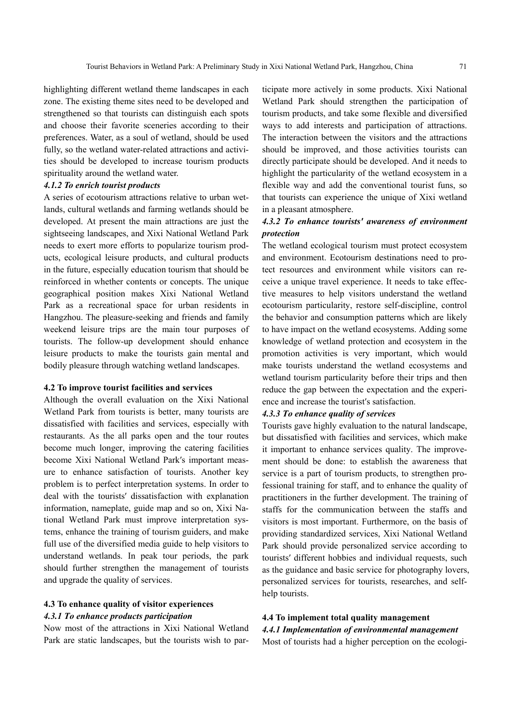highlighting different wetland theme landscapes in each zone. The existing theme sites need to be developed and strengthened so that tourists can distinguish each spots and choose their favorite sceneries according to their preferences. Water, as a soul of wetland, should be used fully, so the wetland water-related attractions and activities should be developed to increase tourism products spirituality around the wetland water.

### *4.1.2 To enrich tourist products*

A series of ecotourism attractions relative to urban wetlands, cultural wetlands and farming wetlands should be developed. At present the main attractions are just the sightseeing landscapes, and Xixi National Wetland Park needs to exert more efforts to popularize tourism products, ecological leisure products, and cultural products in the future, especially education tourism that should be reinforced in whether contents or concepts. The unique geographical position makes Xixi National Wetland Park as a recreational space for urban residents in Hangzhou. The pleasure-seeking and friends and family weekend leisure trips are the main tour purposes of tourists. The follow-up development should enhance leisure products to make the tourists gain mental and bodily pleasure through watching wetland landscapes.

#### **4.2 To improve tourist facilities and services**

Although the overall evaluation on the Xixi National Wetland Park from tourists is better, many tourists are dissatisfied with facilities and services, especially with restaurants. As the all parks open and the tour routes become much longer, improving the catering facilities become Xixi National Wetland Park′s important measure to enhance satisfaction of tourists. Another key problem is to perfect interpretation systems. In order to deal with the tourists′ dissatisfaction with explanation information, nameplate, guide map and so on, Xixi National Wetland Park must improve interpretation systems, enhance the training of tourism guiders, and make full use of the diversified media guide to help visitors to understand wetlands. In peak tour periods, the park should further strengthen the management of tourists and upgrade the quality of services.

### **4.3 To enhance quality of visitor experiences**  *4.3.1 To enhance products participation*

Now most of the attractions in Xixi National Wetland Park are static landscapes, but the tourists wish to participate more actively in some products. Xixi National Wetland Park should strengthen the participation of tourism products, and take some flexible and diversified ways to add interests and participation of attractions. The interaction between the visitors and the attractions should be improved, and those activities tourists can directly participate should be developed. And it needs to highlight the particularity of the wetland ecosystem in a flexible way and add the conventional tourist funs, so that tourists can experience the unique of Xixi wetland in a pleasant atmosphere.

# *4.3.2 To enhance tourists′ awareness of environment protection*

The wetland ecological tourism must protect ecosystem and environment. Ecotourism destinations need to protect resources and environment while visitors can receive a unique travel experience. It needs to take effective measures to help visitors understand the wetland ecotourism particularity, restore self-discipline, control the behavior and consumption patterns which are likely to have impact on the wetland ecosystems. Adding some knowledge of wetland protection and ecosystem in the promotion activities is very important, which would make tourists understand the wetland ecosystems and wetland tourism particularity before their trips and then reduce the gap between the expectation and the experience and increase the tourist′s satisfaction.

#### *4.3.3 To enhance quality of services*

Tourists gave highly evaluation to the natural landscape, but dissatisfied with facilities and services, which make it important to enhance services quality. The improvement should be done: to establish the awareness that service is a part of tourism products, to strengthen professional training for staff, and to enhance the quality of practitioners in the further development. The training of staffs for the communication between the staffs and visitors is most important. Furthermore, on the basis of providing standardized services, Xixi National Wetland Park should provide personalized service according to tourists′ different hobbies and individual requests, such as the guidance and basic service for photography lovers, personalized services for tourists, researches, and selfhelp tourists.

# **4.4 To implement total quality management**

*4.4.1 Implementation of environmental management*  Most of tourists had a higher perception on the ecologi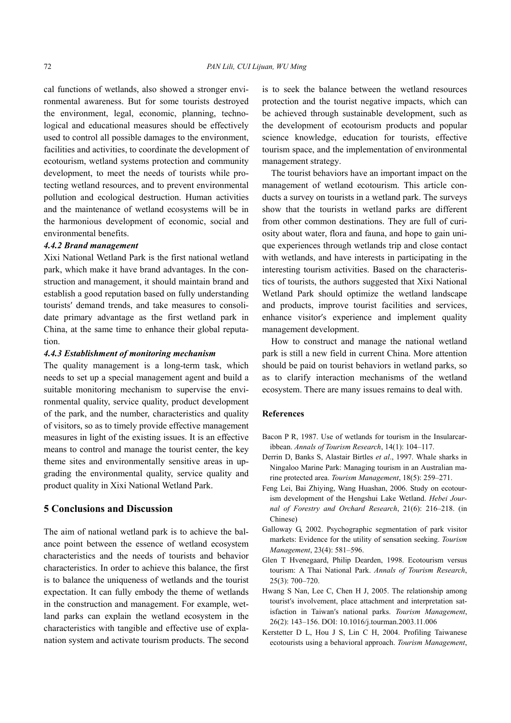cal functions of wetlands, also showed a stronger environmental awareness. But for some tourists destroyed the environment, legal, economic, planning, technological and educational measures should be effectively used to control all possible damages to the environment, facilities and activities, to coordinate the development of ecotourism, wetland systems protection and community development, to meet the needs of tourists while protecting wetland resources, and to prevent environmental pollution and ecological destruction. Human activities and the maintenance of wetland ecosystems will be in the harmonious development of economic, social and environmental benefits.

#### *4.4.2 Brand management*

Xixi National Wetland Park is the first national wetland park, which make it have brand advantages. In the construction and management, it should maintain brand and establish a good reputation based on fully understanding tourists′ demand trends, and take measures to consolidate primary advantage as the first wetland park in China, at the same time to enhance their global reputation.

#### *4.4.3 Establishment of monitoring mechanism*

The quality management is a long-term task, which needs to set up a special management agent and build a suitable monitoring mechanism to supervise the environmental quality, service quality, product development of the park, and the number, characteristics and quality of visitors, so as to timely provide effective management measures in light of the existing issues. It is an effective means to control and manage the tourist center, the key theme sites and environmentally sensitive areas in upgrading the environmental quality, service quality and product quality in Xixi National Wetland Park.

# **5 Conclusions and Discussion**

The aim of national wetland park is to achieve the balance point between the essence of wetland ecosystem characteristics and the needs of tourists and behavior characteristics. In order to achieve this balance, the first is to balance the uniqueness of wetlands and the tourist expectation. It can fully embody the theme of wetlands in the construction and management. For example, wetland parks can explain the wetland ecosystem in the characteristics with tangible and effective use of explanation system and activate tourism products. The second is to seek the balance between the wetland resources protection and the tourist negative impacts, which can be achieved through sustainable development, such as the development of ecotourism products and popular science knowledge, education for tourists, effective tourism space, and the implementation of environmental management strategy.

The tourist behaviors have an important impact on the management of wetland ecotourism. This article conducts a survey on tourists in a wetland park. The surveys show that the tourists in wetland parks are different from other common destinations. They are full of curiosity about water, flora and fauna, and hope to gain unique experiences through wetlands trip and close contact with wetlands, and have interests in participating in the interesting tourism activities. Based on the characteristics of tourists, the authors suggested that Xixi National Wetland Park should optimize the wetland landscape and products, improve tourist facilities and services, enhance visitor′s experience and implement quality management development.

How to construct and manage the national wetland park is still a new field in current China. More attention should be paid on tourist behaviors in wetland parks, so as to clarify interaction mechanisms of the wetland ecosystem. There are many issues remains to deal with.

#### **References**

- Bacon P R, 1987. Use of wetlands for tourism in the Insularcaribbean. *Annals of Tourism Research*, 14(1): 104–117.
- Derrin D, Banks S, Alastair Birtles *et al*., 1997. Whale sharks in Ningaloo Marine Park: Managing tourism in an Australian marine protected area. *Tourism Management*, 18(5): 259–271.
- Feng Lei, Bai Zhiying, Wang Huashan, 2006. Study on ecotourism development of the Hengshui Lake Wetland. *Hebei Journal of Forestry and Orchard Research*, 21(6): 216–218. (in Chinese)
- Galloway G, 2002. Psychographic segmentation of park visitor markets: Evidence for the utility of sensation seeking. *Tourism Management*, 23(4): 581–596.
- Glen T Hvenegaard, Philip Dearden, 1998. Ecotourism versus tourism: A Thai National Park. *Annals of Tourism Research*, 25(3): 700–720.
- Hwang S Nan, Lee C, Chen H J, 2005. The relationship among tourist′s involvement, place attachment and interpretation satisfaction in Taiwan′s national parks. *Tourism Management*, 26(2): 143–156. DOI: 10.1016/j.tourman.2003.11.006
- Kerstetter D L, Hou J S, Lin C H, 2004. Profiling Taiwanese ecotourists using a behavioral approach. *Tourism Management*,